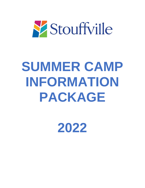

# **SUMMER CAMP INFORMATION PACKAGE**

**2022**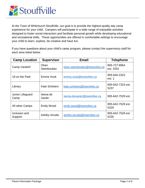

 At the Town of Whitchurch-Stouffville, our goal is to provide the highest quality day camp experience for your child. Campers will participate in a wide range of enjoyable activities designed to foster social interaction and facilitate personal growth while developing educational and recreational skills. These opportunities are offered in comfortable settings to encourage your child to learn, explore, be creative and have fun.

If you have questions about your child's camp program, please contact the supervisory staff for each area listed below.

| <b>Camp Location</b>     | <b>Supervisor</b>    | <b>Email</b>                 | <b>Telephone</b>          |
|--------------------------|----------------------|------------------------------|---------------------------|
| Camp Vandorf             | Ohan<br>Stamboulian  | ohan.stamboulian@townofws.ca | 905-727-8954<br>ext. 3291 |
| 19 on the Park           | Emma Vouk            | emma.vouk@townofws.ca        | 905-640-2322<br>ext. 1    |
| Library                  | <b>Kate Scheiers</b> | kate.scheiers@townofws.ca    | 905-642-7323 ext.<br>5237 |
| Junior Lifeguard<br>Camp | Iwona de<br>Xavier   | Iwona.dexavier@townofws.ca   | 905-642-7529 ext.         |
| All other Camps          | <b>Emily Wood</b>    | emily.wood@townofws.ca       | 905-642-7529 ext.<br>5329 |
| Inclusion and<br>Support | <b>Ashley Arruda</b> | ashley.arruda@townofws.ca    | 905-642-7529 ext.<br>5235 |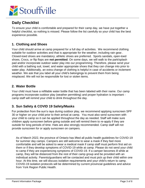

# **Daily Checklist**

 To ensure your child is comfortable and prepared for their camp day, we have put together a helpful checklist, so nothing is missed. Please follow the list carefully so your child has the best experience possible.

## **1. Clothing and Shoes**

 Your child should arrive at camp prepared for a full day of activities. We recommend clothing suitable for outdoor activities and that is appropriate for the weather, including rain gear.. shoes, Crocs, or flip flops are **not permitted**. On some days, we will walk to the park/splash weather. We ask that you label all your child's belongings to prevent them from being Closed-toed shoes are mandatory; athletic shoes are preferred. Sports sandals, open-toed pad and/or incorporate outdoor water play into our programming. Therefore, please send your child with a bathing suit, towel, and water appropriate shoes that they can change into prior to water play. Additionally, an extra change of clothing is helpful in case of accidents or inclement misplaced. We will not be responsible for lost or stolen items.

#### **2. Water Bottle**

Your child must have a refillable water bottle that has been labeled with their name. Our camp programs incorporate outdoor play (weather permitting) and proper hydration is important camp staff will remind your child to drink throughout the day.

#### **3. Sun Safety & COVID 19 Safety/Masks**

 For protection from the sun's rays during outdoor play, we recommend applying sunscreen SPF 30 or higher on your child prior to their arrival at camp. You must also send sunscreen with your child to camp so it can be applied throughout the day as needed. Staff will make sure provide sunscreen for or apply sunscreen on campers. children apply sunscreen before going outside and will remind them to re-apply if they are outside for long periods of time. Hats are also strongly recommended. Camp staff will not

 As of March 2022, the province of Ontario has lifted all public health guidelines for COVID-19 comfortable and will be asked to wear a medical mask if camp staff must perform first aid on for summer day camps. Campers are still welcome to wear a mask if they feel more them or if they develop symptoms of COVID-19 while at camp. Please do not send your child to camp if they are experiencing symptoms of COVID-19. If a camper becomes ill while at camp, they will be distanced from the rest of their camp group and be provided with an individual activity. Parents/guardians will be contacted and must pick up their child within one hour. At this time, we will discuss isolation requirements and your child's return to camp. COVID-19 isolation protocols will be determined by current provincial guidelines and advice from York Region Public Health.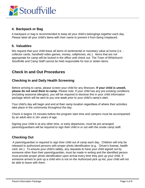

#### **4. Backpack or Bag**

A backpack or bag is recommended to keep all your child's belongings together each day.<br>Please label all your child's items with their name to prevent it from being misplaced. Please label all your child's items with their name to prevent it from being misplaced.

#### **5. Valuables**

 appropriate for camp will be locked in the office until check out. The Town of Whitchurch-We request that your child leave all items of sentimental or monetary value at home (i.e. collector cards, handheld video games, money, cellphones, etc.). Items that are not Stouffville and Camp Staff cannot be held responsible for lost or stolen items.

## **Check In and Out Procedures**

#### **Checking In and Daily Health Screening**

Before arriving to camp, please screen your child for any illnesses. **If your child is unwell, please do not send them to camp.** Please note: If your child has any pre-existing conditions (including seasonal allergies), you will be required to disclose this in your child information package which will be sent to you one week prior to your child's camp's start.

Your child's day will begin and end at their camp location regardless of where their activities take place in the community throughout the day.

Check in begins 15 minutes before the program start time and campers must be accompanied by an adult who is 18+ years of age.

Signing your child in at any other time, or early departures, must be pre-arranged; parents/guardians will be required to sign their child in or out with the onsite camp staff.

## **Checking Out**

 released to authorized persons with proper photo identification (e.g. - Driver's license, health card, etc.). To ensure your child's safety, any requests to have your child signed out by someone other than their parent/guardian, must be made in writing and the identified person A parent/guardian is required to sign their child out of camp each day. Children will only be must provide proper photo identification upon arrival every time they pick up your child. If someone arrives to pick up a child who is not on the Authorized pick up list, your child will not be able to leave with them.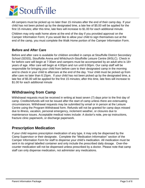

All campers must be picked up no later than 15 minutes after the end of their camp day. If your child has not been picked up by the designated time, a late fee of \$5.00 will be applied for the first 15 minutes; after this time, late fees will increase to \$1.00 for each additional minute.

 end of the camp, you must complete the Walk Home portion of the Camper Information Form. Children may only walk home alone at the end of the day if you provided approval on the Camper Information Form; if you would like to allow your child to sign themselves out at the

#### **Before and After Care**

 responsible for bringing your child from before care to their designated camp in the morning and to check in your child to aftercare at the end of the day. Your child must be picked up from late fee of \$5.00 will be applied for the first 15 minutes; after this time, late fees will increase to Before and after care is available for children enrolled in camps at Stouffville District Secondary School (SDSS), Stouffville Arena and Whitchurch-Stouffville Leisure Centre (WSLC). Check in for before care will begin at 7:30am and campers must be accompanied by an adult who is 18+ years of age. After care will begin at 4:00pm and run until 6:00pm. Our camp staff will be after care no later than 6:15pm. If your child has not been picked up by the designated time, a \$1.00 for each additional minute

## **Withdrawing from Camp**

 Withdrawal requests must be received in writing at least seven (7) days prior to the first day of Centre using the Program Withdrawal form. Refunds will not be granted for camp days missed camp. Credits/refunds will not be issued after the start of camp unless there are extenuating circumstances. Withdrawal requests may be submitted by email or in person at the Leisure due to illness, vacation, personal emergency, inclement weather, or closures due to maintenance issues. Acceptable medical notes include: A doctor's note, pre-op instructions, fracture clinic paperwork, or discharge paperwork.

## **Prescription Medication**

 Camp Supervisor or their designate. Complete the "Medication Information" section of the Camper Information Form for staff to dispense your child's medication. All medication must be sent in its original labelled container and only include the prescribed daily dosage. Over-the-If your child requires prescription medication of any type, it may only be dispensed by the counter medication will not be dispensed unless prescribed by a doctor. Please note that camp staff can only dispense medication, not administer any medications.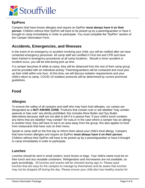

## **EpiPens**

 **person**. Children without their EpiPen will have to be picked up by a parent/guardian or have it Campers that have known allergies and require an EpiPen **must always have it on their**  brought to camp immediately in order to participate. You must complete the "EpiPen" section of the Camper Information Form.

## **Accidents, Emergencies, and Illnesses**

 In the event of an emergency or accident involving your child, you will be notified after we have contacted emergency personnel. All camp staff are certified in First Aid and CPR and have been trained in emergency procedures at all camp locations. Should a minor accident or incident occur, you will be told during pick up time.

 and be provided with an individual activity. Parents/guardians will be contacted and must pick If a camper becomes ill while at camp, they will be distanced from the rest of their camp group up their child within one hour. At this time, we will discuss isolation requirements and your child's return to camp. COVID-19 isolation protocols will be determined by current provincial guidelines.

# **Food**

## **Allergies**

 to another food, they will have to eat in an area away from the group; this also applies to food To ensure the safety of all campers and staff who may have food allergies, our camps are designated as a **NUT-AWARE ZONE**. Products that contain nuts or are labelled "may contain peanuts or tree nuts" are strictly prohibited; this includes Wow Butter and Soy Butter alternatives because staff are not able to tell if it is peanut free. If your child's lunch contains any items that are labelled "may contain" for nuts,or in the case where a camper has an allergy from restaurants that have nuts on their menu.

 Speak to camp staff on the first day to inform them about your child's food allergy. Campers Children without their EpiPen will have to be picked up by a parent/guardian or have it brought that have known allergies and require an EpiPen **must always have it on their person**. to camp immediately in order to participate.

## **Lunches**

 may not be dropped off during the day. Please ensure your child also has healthy snacks for Lunches should be sent in small coolers, lunch boxes or bags. Your child's name must be on their lunch and any reusable containers. Refrigeration and microwaves are not available, so pack accordingly. All lunches and snacks will be checked during sign-in. Please pack lunches that are easy for the campers to manage by themselves and be aware that lunches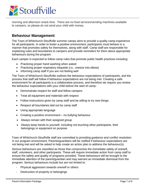

 morning and afternoon snack time. There are no food services/vending machines available to campers, so please do not send your child with money.

## **Behaviour Management**

 The Town of Whitchurch-Stouffville summer camps aims to provide a quality camp experience for all participants. In order to foster a positive environment, participants must behave in a manner that promotes safety for themselves, along with staff. Camp staff are responsible for explaining rules and boundaries to campers and provide reminders for them about appropriate behaviours during the program.

Each camper is expected to follow camp rules that promote public health practices including:

- Practicing proper hand washing when asked
- Practicing proper respiratory etiquette (i.e., sneeze into elbow)
- Informing camp staff if you are not feeling well

 The Town of Whitchurch-Stouffville outlines the behaviour expectations of participants, and the process that staff will follow if behaviour expectations are not being met. Creating a safe environment for all participants is a collaborative process, and therefore we require you review the behaviour expectations with your child before the start of camp:

- Demonstrate respect for staff and fellow campers
- Treat all equipment and materials with respect
- Follow instructions given by camp staff and be willing to try new things
- Respect all boundaries laid out by camp staff
- Using appropriate language
- Creating a positive environment no bullying behaviour
- Always remain with their assigned group
- Always keep hands to yourself, including not touching other participants, their belongings or equipment on purpose

 not being met and will be asked to help create an action plan to address the behaviour(s). Town of Whitchurch-Stouffville staff are committed to providing guidance and conflict resolution in our program environment. Parents/guardians will be notified if behaviour expectations are

 staff, volunteers, and other participants. These will require immediate action from camp staff to Serious behaviours are classified as those that compromise the immediate safety of oneself, ensure the safety and quality of programs provided. These behaviours will be brought to the immediate attention of the parent/guardian and may warrant an immediate dismissal from the program. Serious behaviours include but are not limited to:

- Physical aggression towards oneself or others
- Destruction of property or belongings